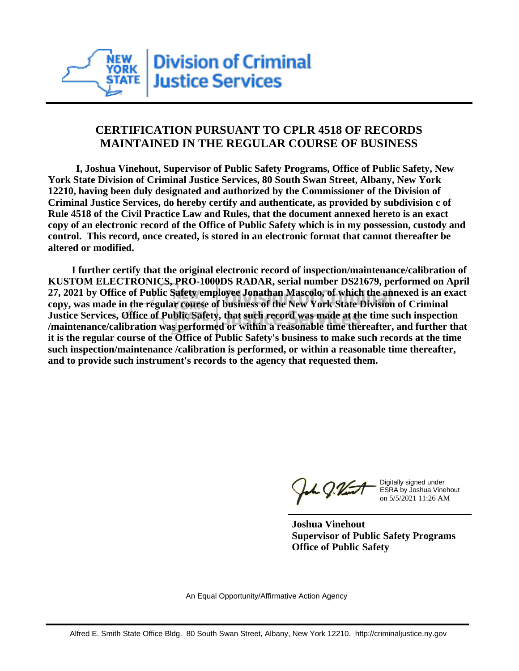

## **CERTIFICATION PURSUANT TO CPLR 4518 OF RECORDS MAINTAINED IN THE REGULAR COURSE OF BUSINESS**

 **I, Joshua Vinehout, Supervisor of Public Safety Programs, Office of Public Safety, New York State Division of Criminal Justice Services, 80 South Swan Street, Albany, New York 12210, having been duly designated and authorized by the Commissioner of the Division of Criminal Justice Services, do hereby certify and authenticate, as provided by subdivision c of Rule 4518 of the Civil Practice Law and Rules, that the document annexed hereto is an exact copy of an electronic record of the Office of Public Safety which is in my possession, custody and control. This record, once created, is stored in an electronic format that cannot thereafter be altered or modified.**

 **I further certify that the original electronic record of inspection/maintenance/calibration of KUSTOM ELECTRONICS, PRO-1000DS RADAR, serial number DS21679, performed on April 27, 2021 by Office of Public Safety employee Jonathan Mascolo, of which the annexed is an exact copy, was made in the regular course of business of the New York State Division of Criminal Justice Services, Office of Public Safety, that such record was made at the time such inspection /maintenance/calibration was performed or within a reasonable time thereafter, and further that it is the regular course of the Office of Public Safety's business to make such records at the time such inspection/maintenance /calibration is performed, or within a reasonable time thereafter, and to provide such instrument's records to the agency that requested them.**

the J. Vint

Digitally signed under ESRA by Joshua Vinehout on 5/5/2021 11:26 AM

**Joshua Vinehout Supervisor of Public Safety Programs Office of Public Safety**

An Equal Opportunity/Affirmative Action Agency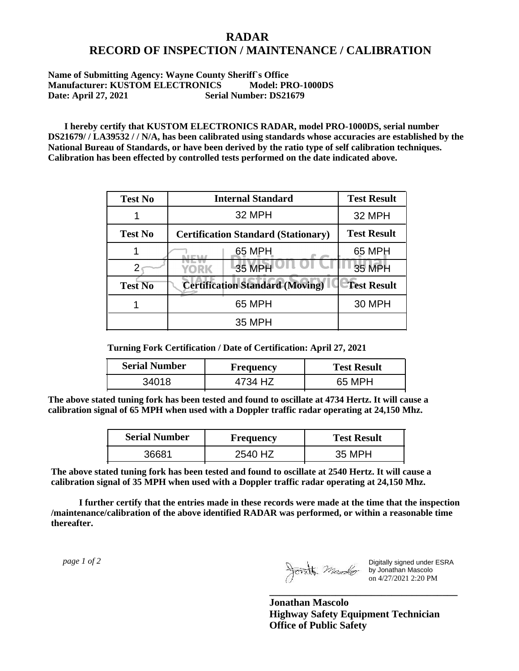## **RADAR RECORD OF INSPECTION / MAINTENANCE / CALIBRATION**

## **Name of Submitting Agency: Wayne County Sheriff`s Office Manufacturer: KUSTOM ELECTRONICS Model: PRO-1000DS Date: April 27, 2021 Serial Number: DS21679**

 **I hereby certify that KUSTOM ELECTRONICS RADAR, model PRO-1000DS, serial number DS21679/ / LA39532 / / N/A, has been calibrated using standards whose accuracies are established by the National Bureau of Standards, or have been derived by the ratio type of self calibration techniques. Calibration has been effected by controlled tests performed on the date indicated above.**

| <b>Test No</b> | <b>Internal Standard</b>                   | <b>Test Result</b> |
|----------------|--------------------------------------------|--------------------|
|                | 32 MPH                                     | 32 MPH             |
| <b>Test No</b> | <b>Certification Standard (Stationary)</b> | <b>Test Result</b> |
|                | 65 MPH                                     | 65 MPH             |
|                | 35 MPH<br>YORK                             | 35 MPH             |
| <b>Test No</b> | <b>Certification Standard (Moving)</b>     | <b>Test Result</b> |
|                | 65 MPH                                     | <b>30 MPH</b>      |
|                | <b>35 MPH</b>                              |                    |

**Turning Fork Certification / Date of Certification: April 27, 2021**

| <b>Serial Number</b> | <b>Frequency</b> | <b>Test Result</b> |
|----------------------|------------------|--------------------|
| 34018                |                  | 65 MPH             |

**The above stated tuning fork has been tested and found to oscillate at 4734 Hertz. It will cause a calibration signal of 65 MPH when used with a Doppler traffic radar operating at 24,150 Mhz.**

| <b>Serial Number</b> | <b>Frequency</b> | <b>Test Result</b> |
|----------------------|------------------|--------------------|
| 36681                | 2540 HZ          | 35 MPH             |

**The above stated tuning fork has been tested and found to oscillate at 2540 Hertz. It will cause a calibration signal of 35 MPH when used with a Doppler traffic radar operating at 24,150 Mhz.**

 **I further certify that the entries made in these records were made at the time that the inspection /maintenance/calibration of the above identified RADAR was performed, or within a reasonable time thereafter.**

 *page 1 of 2* 

Digitally signed under ESRA by Jonathan Mascolo on 4/27/2021 2:20 PM

**Jonathan Mascolo Highway Safety Equipment Technician Office of Public Safety**

**\_\_\_\_\_\_\_\_\_\_\_\_\_\_\_\_\_\_\_\_\_\_\_\_\_\_\_\_\_\_\_\_\_\_\_\_\_**